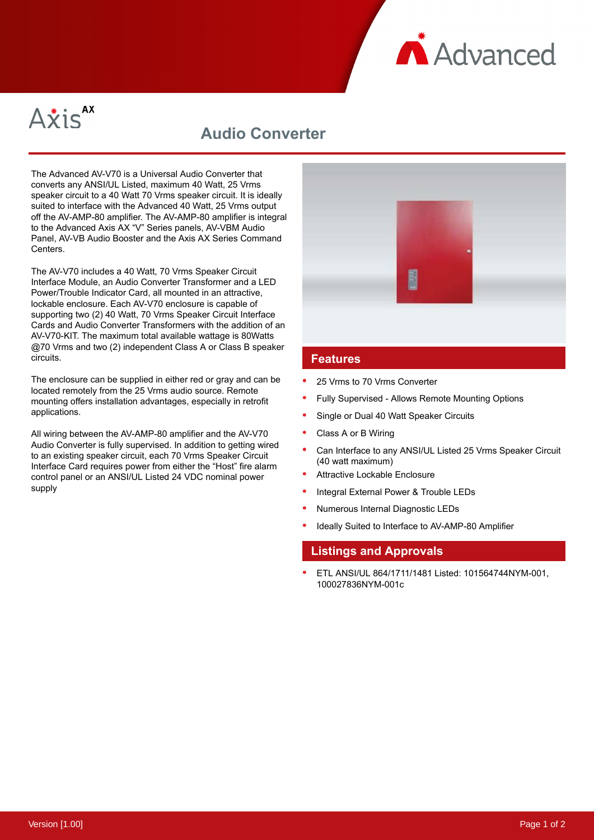



# **Audio Converter**

The Advanced AV-V70 is a Universal Audio Converter that converts any ANSI/UL Listed, maximum 40 Watt, 25 Vrms speaker circuit to a 40 Watt 70 Vrms speaker circuit. It is ideally suited to interface with the Advanced 40 Watt, 25 Vrms output off the AV-AMP-80 amplifier. The AV-AMP-80 amplifier is integral to the Advanced Axis AX "V" Series panels, AV-VBM Audio Panel, AV-VB Audio Booster and the Axis AX Series Command Centers.

The AV-V70 includes a 40 Watt, 70 Vrms Speaker Circuit Interface Module, an Audio Converter Transformer and a LED Power/Trouble Indicator Card, all mounted in an attractive, lockable enclosure. Each AV-V70 enclosure is capable of supporting two (2) 40 Watt, 70 Vrms Speaker Circuit Interface Cards and Audio Converter Transformers with the addition of an AV-V70-KIT. The maximum total available wattage is 80Watts @70 Vrms and two (2) independent Class A or Class B speaker circuits.

The enclosure can be supplied in either red or gray and can be located remotely from the 25 Vrms audio source. Remote mounting offers installation advantages, especially in retrofit applications.

All wiring between the AV-AMP-80 amplifier and the AV-V70 Audio Converter is fully supervised. In addition to getting wired to an existing speaker circuit, each 70 Vrms Speaker Circuit Interface Card requires power from either the "Host" fire alarm control panel or an ANSI/UL Listed 24 VDC nominal power supply



#### **Features**

- 25 Vrms to 70 Vrms Converter
- Fully Supervised Allows Remote Mounting Options
- Single or Dual 40 Watt Speaker Circuits
- Class A or B Wiring
- Can Interface to any ANSI/UL Listed 25 Vrms Speaker Circuit (40 watt maximum)
- Attractive Lockable Enclosure
- Integral External Power & Trouble LEDs
- Numerous Internal Diagnostic LEDs
- Ideally Suited to Interface to AV-AMP-80 Amplifier

### **Listings and Approvals**

ETL ANSI/UL 864/1711/1481 Listed: 101564744NYM-001, 100027836NYM-001c